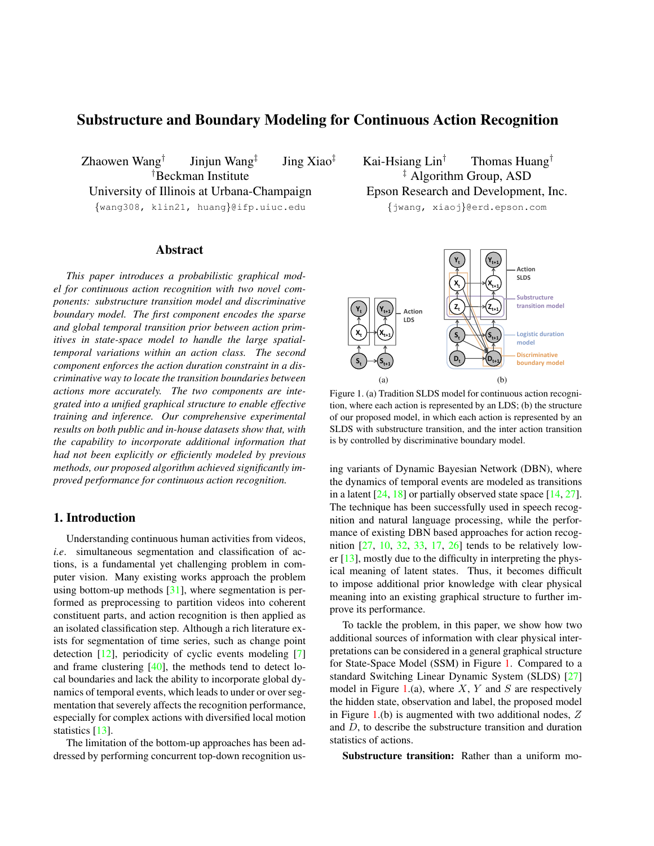# Substructure and Boundary Modeling for Continuous Action Recognition

Zhaowen Wang<sup>†</sup> Jinjun Wang<sup>‡</sup> Jing Xiao<sup>‡</sup> † Beckman Institute University of Illinois at Urbana-Champaign {wang308, klin21, huang}@ifp.uiuc.edu

## Abstract

*This paper introduces a probabilistic graphical model for continuous action recognition with two novel components: substructure transition model and discriminative boundary model. The first component encodes the sparse and global temporal transition prior between action primitives in state-space model to handle the large spatialtemporal variations within an action class. The second component enforces the action duration constraint in a discriminative way to locate the transition boundaries between actions more accurately. The two components are integrated into a unified graphical structure to enable effective training and inference. Our comprehensive experimental results on both public and in-house datasets show that, with the capability to incorporate additional information that had not been explicitly or efficiently modeled by previous methods, our proposed algorithm achieved significantly improved performance for continuous action recognition.*

## 1. Introduction

Understanding continuous human activities from videos, *i.e*. simultaneous segmentation and classification of actions, is a fundamental yet challenging problem in computer vision. Many existing works approach the problem using bottom-up methods  $[31]$ , where segmentation is performed as preprocessing to partition videos into coherent constituent parts, and action recognition is then applied as an isolated classification step. Although a rich literature exists for segmentation of time series, such as change point detection [12], periodicity of cyclic events modeling [7] and frame clustering [40], the methods tend to detect local boundaries and lack the ability to incorporate global dynamics of temporal events, which leads to under or over segmentation that severely affects the recognition performance, especially for complex actions with diversified local motion statistics [13].

The limitation of the bottom-up approaches has been addressed by performing concurrent top-down recognition usKai-Hsiang  $Lin^{\dagger}$  Thomas Huang<sup>†</sup> ‡ Algorithm Group, ASD Epson Research and Development, Inc. {jwang, xiaoj}@erd.epson.com



Figure 1. (a) Tradition SLDS model for continuous action recognition, where each action is represented by an LDS; (b) the structure of our proposed model, in which each action is represented by an SLDS with substructure transition, and the inter action transition is by controlled by discriminative boundary model.

ing variants of Dynamic Bayesian Network (DBN), where the dynamics of temporal events are modeled as transitions in a latent  $[24, 18]$  or partially observed state space  $[14, 27]$ . The technique has been successfully used in speech recognition and natural language processing, while the performance of existing DBN based approaches for action recognition [27, 10, 32, 33, 17, 26] tends to be relatively lower  $[13]$ , mostly due to the difficulty in interpreting the physical meaning of latent states. Thus, it becomes difficult to impose additional prior knowledge with clear physical meaning into an existing graphical structure to further improve its performance.

To tackle the problem, in this paper, we show how two additional sources of information with clear physical interpretations can be considered in a general graphical structure for State-Space Model (SSM) in Figure 1. Compared to a standard Switching Linear Dynamic System (SLDS) [27] model in Figure 1.(a), where  $X$ ,  $Y$  and  $S$  are respectively the hidden state, observation and label, the proposed model in Figure 1.(b) is augmented with two additional nodes,  $Z$ and D, to describe the substructure transition and duration statistics of actions.

Substructure transition: Rather than a uniform mo-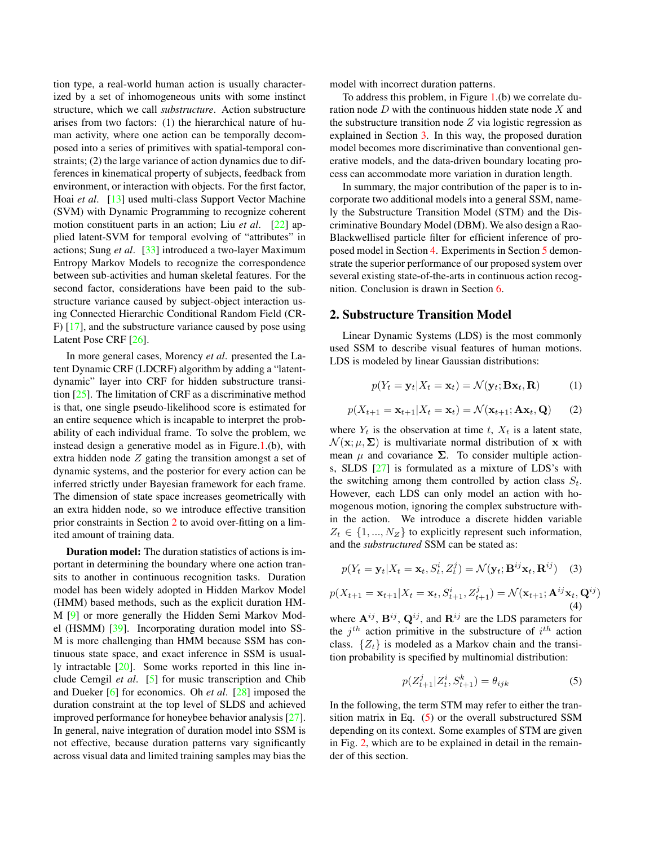tion type, a real-world human action is usually characterized by a set of inhomogeneous units with some instinct structure, which we call *substructure*. Action substructure arises from two factors: (1) the hierarchical nature of human activity, where one action can be temporally decomposed into a series of primitives with spatial-temporal constraints; (2) the large variance of action dynamics due to differences in kinematical property of subjects, feedback from environment, or interaction with objects. For the first factor, Hoai *et al*. [13] used multi-class Support Vector Machine (SVM) with Dynamic Programming to recognize coherent motion constituent parts in an action; Liu *et al*. [22] applied latent-SVM for temporal evolving of "attributes" in actions; Sung *et al*. [33] introduced a two-layer Maximum Entropy Markov Models to recognize the correspondence between sub-activities and human skeletal features. For the second factor, considerations have been paid to the substructure variance caused by subject-object interaction using Connected Hierarchic Conditional Random Field (CR-F) [17], and the substructure variance caused by pose using Latent Pose CRF [26].

In more general cases, Morency *et al*. presented the Latent Dynamic CRF (LDCRF) algorithm by adding a "latentdynamic" layer into CRF for hidden substructure transition [25]. The limitation of CRF as a discriminative method is that, one single pseudo-likelihood score is estimated for an entire sequence which is incapable to interpret the probability of each individual frame. To solve the problem, we instead design a generative model as in Figure.1.(b), with extra hidden node Z gating the transition amongst a set of dynamic systems, and the posterior for every action can be inferred strictly under Bayesian framework for each frame. The dimension of state space increases geometrically with an extra hidden node, so we introduce effective transition prior constraints in Section 2 to avoid over-fitting on a limited amount of training data.

Duration model: The duration statistics of actions is important in determining the boundary where one action transits to another in continuous recognition tasks. Duration model has been widely adopted in Hidden Markov Model (HMM) based methods, such as the explicit duration HM-M [9] or more generally the Hidden Semi Markov Model (HSMM) [39]. Incorporating duration model into SS-M is more challenging than HMM because SSM has continuous state space, and exact inference in SSM is usually intractable [20]. Some works reported in this line include Cemgil *et al*. [5] for music transcription and Chib and Dueker [6] for economics. Oh *et al*. [28] imposed the duration constraint at the top level of SLDS and achieved improved performance for honeybee behavior analysis [27]. In general, naive integration of duration model into SSM is not effective, because duration patterns vary significantly across visual data and limited training samples may bias the model with incorrect duration patterns.

To address this problem, in Figure 1.(b) we correlate duration node  $D$  with the continuous hidden state node  $X$  and the substructure transition node  $Z$  via logistic regression as explained in Section 3. In this way, the proposed duration model becomes more discriminative than conventional generative models, and the data-driven boundary locating process can accommodate more variation in duration length.

In summary, the major contribution of the paper is to incorporate two additional models into a general SSM, namely the Substructure Transition Model (STM) and the Discriminative Boundary Model (DBM). We also design a Rao-Blackwellised particle filter for efficient inference of proposed model in Section 4. Experiments in Section 5 demonstrate the superior performance of our proposed system over several existing state-of-the-arts in continuous action recognition. Conclusion is drawn in Section 6.

### 2. Substructure Transition Model

Linear Dynamic Systems (LDS) is the most commonly used SSM to describe visual features of human motions. LDS is modeled by linear Gaussian distributions:

$$
p(Y_t = \mathbf{y}_t | X_t = \mathbf{x}_t) = \mathcal{N}(\mathbf{y}_t; \mathbf{B}\mathbf{x}_t, \mathbf{R})
$$
 (1)

$$
p(X_{t+1} = \mathbf{x}_{t+1} | X_t = \mathbf{x}_t) = \mathcal{N}(\mathbf{x}_{t+1}; \mathbf{A}\mathbf{x}_t, \mathbf{Q}) \qquad (2)
$$

where  $Y_t$  is the observation at time t,  $X_t$  is a latent state,  $\mathcal{N}(\mathbf{x}; \mu, \Sigma)$  is multivariate normal distribution of **x** with mean  $\mu$  and covariance  $\Sigma$ . To consider multiple actions, SLDS [27] is formulated as a mixture of LDS's with the switching among them controlled by action class  $S_t$ . However, each LDS can only model an action with homogenous motion, ignoring the complex substructure within the action. We introduce a discrete hidden variable  $Z_t \in \{1, ..., N_Z\}$  to explicitly represent such information, and the *substructured* SSM can be stated as:

$$
p(Y_t = \mathbf{y}_t | X_t = \mathbf{x}_t, S_t^i, Z_t^j) = \mathcal{N}(\mathbf{y}_t; \mathbf{B}^{ij}\mathbf{x}_t, \mathbf{R}^{ij})
$$
 (3)

$$
p(X_{t+1} = \mathbf{x}_{t+1} | X_t = \mathbf{x}_t, S_{t+1}^i, Z_{t+1}^j) = \mathcal{N}(\mathbf{x}_{t+1}; \mathbf{A}^{ij} \mathbf{x}_t, \mathbf{Q}^{ij})
$$
\n(4)

where  $\mathbf{A}^{ij}$ ,  $\mathbf{B}^{ij}$ ,  $\mathbf{Q}^{ij}$ , and  $\mathbf{R}^{ij}$  are the LDS parameters for the  $j^{th}$  action primitive in the substructure of  $i^{th}$  action class.  $\{Z_t\}$  is modeled as a Markov chain and the transition probability is specified by multinomial distribution:

$$
p(Z_{t+1}^j | Z_t^i, S_{t+1}^k) = \theta_{ijk} \tag{5}
$$

In the following, the term STM may refer to either the transition matrix in Eq. (5) or the overall substructured SSM depending on its context. Some examples of STM are given in Fig. 2, which are to be explained in detail in the remainder of this section.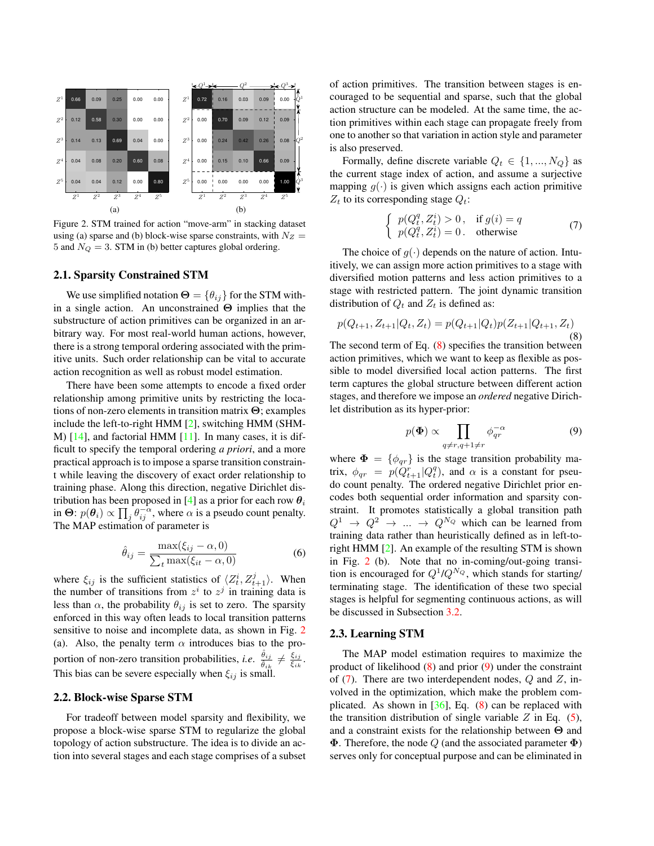

Figure 2. STM trained for action "move-arm" in stacking dataset using (a) sparse and (b) block-wise sparse constraints, with  $N_Z =$ 5 and  $N_Q = 3$ . STM in (b) better captures global ordering.

### 2.1. Sparsity Constrained STM

We use simplified notation  $\mathbf{\Theta} = {\theta_{ij}}$  for the STM within a single action. An unconstrained **Θ** implies that the substructure of action primitives can be organized in an arbitrary way. For most real-world human actions, however, there is a strong temporal ordering associated with the primitive units. Such order relationship can be vital to accurate action recognition as well as robust model estimation.

There have been some attempts to encode a fixed order relationship among primitive units by restricting the locations of non-zero elements in transition matrix **Θ**; examples include the left-to-right HMM [2], switching HMM (SHM-M)  $[14]$ , and factorial HMM  $[11]$ . In many cases, it is difficult to specify the temporal ordering *a priori*, and a more practical approach is to impose a sparse transition constraint while leaving the discovery of exact order relationship to training phase. Along this direction, negative Dirichlet distribution has been proposed in [4] as a prior for each row  $\theta_i$ in  $\Theta$ :  $p(\theta_i) \propto \prod_j \theta_{ij}^{-\alpha}$ , where  $\alpha$  is a pseudo count penalty.<br>The MAP estimation of parameter is The MAP estimation of parameter is

$$
\hat{\theta}_{ij} = \frac{\max(\xi_{ij} - \alpha, 0)}{\sum_{t} \max(\xi_{it} - \alpha, 0)}
$$
(6)

where  $\xi_{ij}$  is the sufficient statistics of  $\langle Z_t^i, Z_{t+1}^j \rangle$ . When the number of transitions from  $z^i$  to  $z^j$  in training data is less than  $\alpha$ , the probability  $\theta_{ij}$  is set to zero. The sparsity enforced in this way often leads to local transition patterns sensitive to noise and incomplete data, as shown in Fig. 2 (a). Also, the penalty term  $\alpha$  introduces bias to the proportion of non-zero transition probabilities, *i.e.*  $\frac{\hat{\theta}_{ij}}{\hat{\theta}_{ij}}$  $\frac{\hat{\theta}_{ij}}{\hat{\theta}_{ik}} \neq \frac{\xi_{ij}}{\xi_{ik}}.$ This bias can be severe especially when  $\xi_{ij}$  is small.

#### 2.2. Block-wise Sparse STM

For tradeoff between model sparsity and flexibility, we propose a block-wise sparse STM to regularize the global topology of action substructure. The idea is to divide an action into several stages and each stage comprises of a subset of action primitives. The transition between stages is encouraged to be sequential and sparse, such that the global action structure can be modeled. At the same time, the action primitives within each stage can propagate freely from one to another so that variation in action style and parameter is also preserved.

Formally, define discrete variable  $Q_t \in \{1, ..., N_Q\}$  as the current stage index of action, and assume a surjective mapping  $g(\cdot)$  is given which assigns each action primitive  $Z_t$  to its corresponding stage  $Q_t$ :

$$
\begin{cases}\np(Q_t^q, Z_t^i) > 0, \quad \text{if } g(i) = q \\
p(Q_t^q, Z_t^i) = 0. \quad \text{otherwise}\n\end{cases} \tag{7}
$$

The choice of  $q(\cdot)$  depends on the nature of action. Intuitively, we can assign more action primitives to a stage with diversified motion patterns and less action primitives to a stage with restricted pattern. The joint dynamic transition distribution of  $Q_t$  and  $Z_t$  is defined as:

$$
p(Q_{t+1}, Z_{t+1}|Q_t, Z_t) = p(Q_{t+1}|Q_t)p(Z_{t+1}|Q_{t+1}, Z_t)
$$

The second term of Eq.  $(8)$  specifies the transition between action primitives, which we want to keep as flexible as possible to model diversified local action patterns. The first term captures the global structure between different action stages, and therefore we impose an *ordered* negative Dirichlet distribution as its hyper-prior:

$$
p(\mathbf{\Phi}) \propto \prod_{q \neq r, q+1 \neq r} \phi_{qr}^{-\alpha} \tag{9}
$$

where  $\mathbf{\Phi} = {\phi_{qr}}$  is the stage transition probability matrix,  $\phi_{qr} = p(Q_{t+1}^r | Q_t^q)$ , and  $\alpha$  is a constant for pseu-<br>do count penalty. The ordered penative Dirichlet prior endo count penalty. The ordered negative Dirichlet prior encodes both sequential order information and sparsity constraint. It promotes statistically a global transition path  $Q^1 \rightarrow Q^2 \rightarrow \dots \rightarrow Q^{N_Q}$  which can be learned from training data rather than heuristically defined as in left-toright HMM [2]. An example of the resulting STM is shown in Fig. 2 (b). Note that no in-coming/out-going transition is encouraged for  $Q^1/Q^{N_Q}$ , which stands for starting/ terminating stage. The identification of these two special stages is helpful for segmenting continuous actions, as will be discussed in Subsection 3.2.

#### 2.3. Learning STM

The MAP model estimation requires to maximize the product of likelihood (8) and prior (9) under the constraint of  $(7)$ . There are two interdependent nodes, Q and Z, involved in the optimization, which make the problem complicated. As shown in  $[36]$ , Eq. (8) can be replaced with the transition distribution of single variable  $Z$  in Eq.  $(5)$ , and a constraint exists for the relationship between **Θ** and **Φ**. Therefore, the node Q (and the associated parameter **Φ**) serves only for conceptual purpose and can be eliminated in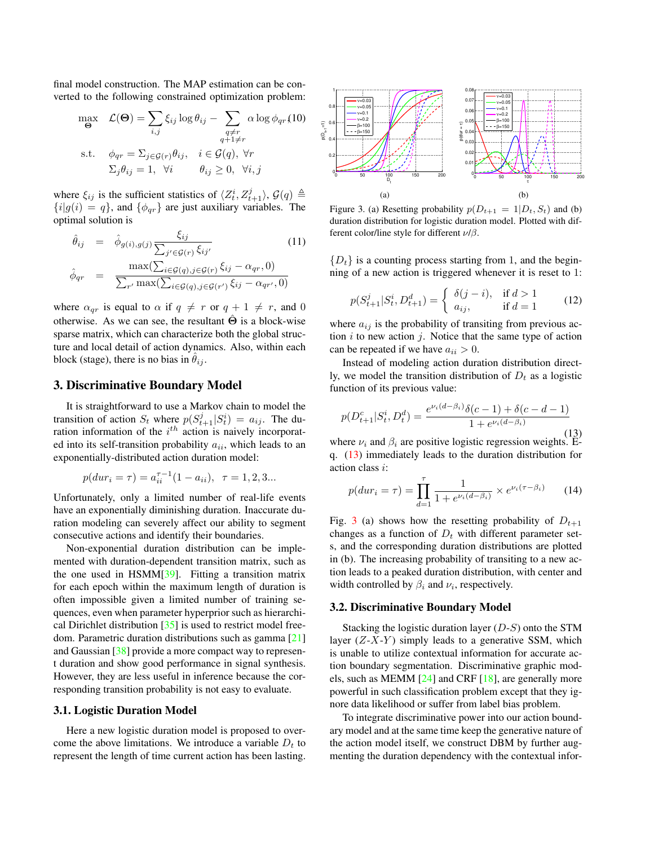final model construction. The MAP estimation can be converted to the following constrained optimization problem:

$$
\max_{\Theta} \quad \mathcal{L}(\Theta) = \sum_{i,j} \xi_{ij} \log \theta_{ij} - \sum_{\substack{q \neq r \\ q+1 \neq r}} \alpha \log \phi_{qr}(10)
$$
\n
$$
\text{s.t.} \quad \phi_{qr} = \sum_{j \in \mathcal{G}(r)} \theta_{ij}, \quad i \in \mathcal{G}(q), \ \forall r
$$
\n
$$
\sum_{j} \theta_{ij} = 1, \ \forall i \qquad \theta_{ij} \geq 0, \ \forall i, j
$$

where  $\xi_{ij}$  is the sufficient statistics of  $\langle Z_t^i, Z_{t+1}^j \rangle$ ,  $\mathcal{G}(q) \triangleq \xi_{i|q}(i) = q \setminus q$  and  $f \wedge \xi$  are just auxiliary variables. The  ${i|g(i) = q}$ , and  ${\lbrace \phi_{qr} \rbrace}$  are just auxiliary variables. The optimal solution is

$$
\hat{\theta}_{ij} = \hat{\phi}_{g(i),g(j)} \frac{\xi_{ij}}{\sum_{j' \in \mathcal{G}(r)} \xi_{ij'}} \qquad (11)
$$
\n
$$
\hat{\phi}_{qr} = \frac{\max(\sum_{i \in \mathcal{G}(q), j \in \mathcal{G}(r)} \xi_{ij} - \alpha_{qr}, 0)}{\sum_{r'} \max(\sum_{i \in \mathcal{G}(q), j \in \mathcal{G}(r')} \xi_{ij} - \alpha_{qr'}, 0)}
$$

where  $\alpha_{qr}$  is equal to  $\alpha$  if  $q \neq r$  or  $q + 1 \neq r$ , and 0 otherwise. As we can see, the resultant **<sup>Θ</sup>**<sup>ˆ</sup> is a block-wise sparse matrix, which can characterize both the global structure and local detail of action dynamics. Also, within each block (stage), there is no bias in  $\theta_{ij}$ .

### 3. Discriminative Boundary Model

It is straightforward to use a Markov chain to model the transition of action  $S_t$  where  $p(S_{t+1}^j | S_t^i) = a_{ij}$ . The du-<br>tration information of the *i*<sup>th</sup> action is naively incorporatration information of the  $i^{th}$  action is naively incorporated into its self-transition probability  $a_{ii}$ , which leads to an exponentially-distributed action duration model:

$$
p(dur_i = \tau) = a_{ii}^{\tau-1}(1 - a_{ii}), \ \tau = 1, 2, 3...
$$

Unfortunately, only a limited number of real-life events have an exponentially diminishing duration. Inaccurate duration modeling can severely affect our ability to segment consecutive actions and identify their boundaries.

Non-exponential duration distribution can be implemented with duration-dependent transition matrix, such as the one used in HSMM[39]. Fitting a transition matrix for each epoch within the maximum length of duration is often impossible given a limited number of training sequences, even when parameter hyperprior such as hierarchical Dirichlet distribution [35] is used to restrict model freedom. Parametric duration distributions such as gamma [21] and Gaussian [38] provide a more compact way to represent duration and show good performance in signal synthesis. However, they are less useful in inference because the corresponding transition probability is not easy to evaluate.

## 3.1. Logistic Duration Model

Here a new logistic duration model is proposed to overcome the above limitations. We introduce a variable  $D_t$  to represent the length of time current action has been lasting.



Figure 3. (a) Resetting probability  $p(D_{t+1} = 1|D_t, S_t)$  and (b) duration distribution for logistic duration model. Plotted with different color/line style for different  $\nu/\beta$ .

 ${D<sub>t</sub>}$  is a counting process starting from 1, and the beginning of a new action is triggered whenever it is reset to 1:

$$
p(S_{t+1}^j | S_t^i, D_{t+1}^d) = \begin{cases} \delta(j-i), & \text{if } d > 1 \\ a_{ij}, & \text{if } d = 1 \end{cases}
$$
 (12)

where  $a_{ij}$  is the probability of transiting from previous action  $i$  to new action  $j$ . Notice that the same type of action can be repeated if we have  $a_{ii} > 0$ .

Instead of modeling action duration distribution directly, we model the transition distribution of  $D_t$  as a logistic function of its previous value:

$$
p(D_{t+1}^c|S_t^i, D_t^d) = \frac{e^{\nu_i(d-\beta_i)}\delta(c-1) + \delta(c-d-1)}{1 + e^{\nu_i(d-\beta_i)}}\tag{13}
$$

where  $\nu_i$  and  $\beta_i$  are positive logistic regression weights. Eq. (13) immediately leads to the duration distribution for action class i:

$$
p(dur_i = \tau) = \prod_{d=1}^{\tau} \frac{1}{1 + e^{\nu_i(d-\beta_i)}} \times e^{\nu_i(\tau-\beta_i)}
$$
(14)

Fig. 3 (a) shows how the resetting probability of  $D_{t+1}$ changes as a function of  $D_t$  with different parameter sets, and the corresponding duration distributions are plotted in (b). The increasing probability of transiting to a new action leads to a peaked duration distribution, with center and width controlled by  $\beta_i$  and  $\nu_i$ , respectively.

#### 3.2. Discriminative Boundary Model

Stacking the logistic duration layer  $(D-S)$  onto the STM layer  $(Z-X-Y)$  simply leads to a generative SSM, which is unable to utilize contextual information for accurate action boundary segmentation. Discriminative graphic models, such as MEMM  $[24]$  and CRF  $[18]$ , are generally more powerful in such classification problem except that they ignore data likelihood or suffer from label bias problem.

To integrate discriminative power into our action boundary model and at the same time keep the generative nature of the action model itself, we construct DBM by further augmenting the duration dependency with the contextual infor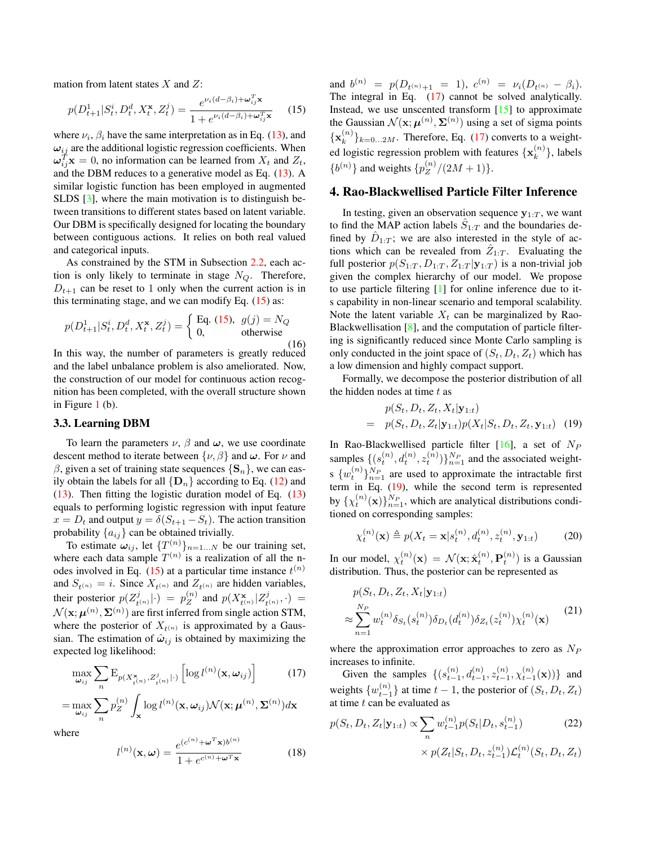mation from latent states  $X$  and  $Z$ :

$$
p(D_{t+1}^1 | S_t^i, D_t^d, X_t^{\mathbf{x}}, Z_t^j) = \frac{e^{\nu_i (d-\beta_i) + \omega_{ij}^T \mathbf{x}}}{1 + e^{\nu_i (d-\beta_i) + \omega_{ij}^T \mathbf{x}}} \tag{15}
$$
  
where  $\nu_i, \beta_i$  have the same interpretation as in Eq. (13), and

 $\omega_{ij}$  are the additional logistic regression coefficients. When  $\omega_{ij}^T$ **x** = 0, no information can be learned from  $X_t$  and  $Z_t$ , and the DBM reduces to a generative model as Eq. (13). and the DBM reduces to a generative model as Eq. (13). A similar logistic function has been employed in augmented SLDS [3], where the main motivation is to distinguish between transitions to different states based on latent variable. Our DBM is specifically designed for locating the boundary between contiguous actions. It relies on both real valued and categorical inputs.

As constrained by the STM in Subsection 2.2, each action is only likely to terminate in stage  $N_Q$ . Therefore,  $D_{t+1}$  can be reset to 1 only when the current action is in this terminating stage, and we can modify Eq.  $(15)$  as:

$$
p(D_{t+1}^1 | S_t^i, D_t^d, X_t^{\mathbf{x}}, Z_t^j) = \begin{cases} \text{Eq. (15), } g(j) = N_Q \\ 0, \text{ otherwise} \end{cases}
$$
 (16)

In this way, the number of parameters is greatly reduced and the label unbalance problem is also ameliorated. Now, the construction of our model for continuous action recognition has been completed, with the overall structure shown in Figure 1 (b).

## 3.3. Learning DBM

To learn the parameters  $\nu$ ,  $\beta$  and  $\omega$ , we use coordinate descent method to iterate between  $\{\nu, \beta\}$  and  $\omega$ . For  $\nu$  and  $\beta$ , given a set of training state sequences  ${\bf S}_n$ , we can easily obtain the labels for all  $\{D_n\}$  according to Eq. (12) and (13). Then fitting the logistic duration model of Eq. (13) equals to performing logistic regression with input feature  $x = D_t$  and output  $y = \delta(S_{t+1} - S_t)$ . The action transition probability  $\{a_{ij}\}$  can be obtained trivially.

To estimate  $\omega_{ij}$ , let  $\{T^{(n)}\}_{n=1...N}$  be our training set, where each data sample  $T^{(n)}$  is a realization of all the nodes involved in Eq. (15) at a particular time instance  $t^{(n)}$ and  $S_{t^{(n)}} = i$ . Since  $X_{t^{(n)}}$  and  $Z_{t^{(n)}}$  are hidden variables, their posterior  $p(Z_{t(n)}^j|\cdot) = p_Z^{(n)}$  and  $p(X_{t(n)}^{\mathbf{x}} | Z_{t(n)}^j, \cdot) =$ <br> $\Lambda(\text{supp}(\mathbf{x}_1 | \mathbf{x}_1 | \mathbf{x}_2 | \cdot))$  are first informal from simple axion STM.  $\mathcal{N}(\mathbf{x}; \boldsymbol{\mu}^{(n)}, \boldsymbol{\Sigma}^{(n)})$  are first inferred from single action STM, where the posterior of  $X_{t(n)}$  is approximated by a Gaussian. The estimation of  $\hat{\omega}_{ij}$  is obtained by maximizing the expected log likelihood:

$$
\max_{\boldsymbol{\omega}_{ij}} \sum_{n} \mathbf{E}_{p(X_{t^{(n)}}^{\mathbf{x}}, Z_{t^{(n)}}^j | \cdot)} \left[ \log l^{(n)}(\mathbf{x}, \boldsymbol{\omega}_{ij}) \right]
$$
(17)

$$
= \max_{\boldsymbol{\omega}_{ij}} \sum_{n} p_Z^{(n)} \int_{\mathbf{x}} \log l^{(n)}(\mathbf{x}, \boldsymbol{\omega}_{ij}) \mathcal{N}(\mathbf{x}; \boldsymbol{\mu}^{(n)}, \boldsymbol{\Sigma}^{(n)}) d\mathbf{x}
$$

where

$$
l^{(n)}(\mathbf{x}, \boldsymbol{\omega}) = \frac{e^{(c^{(n)} + \boldsymbol{\omega}^T \mathbf{x})b^{(n)}}}{1 + e^{c^{(n)} + \boldsymbol{\omega}^T \mathbf{x}}}
$$
(18)

and  $b^{(n)} = p(D_{t^{(n)}+1} = 1), c^{(n)} = \nu_i(D_{t^{(n)}} - \beta_i).$ The integral in Eq. (17) cannot be solved analytically. Instead, we use unscented transform  $[15]$  to approximate the Gaussian  $\mathcal{N}(\mathbf{x}; \boldsymbol{\mu}^{(n)}, \boldsymbol{\Sigma}^{(n)})$  using a set of sigma points<br>  $\mathbf{F}^{(n)}$  ${x_k^{(n)}}_{k=0...2M}$ . Therefore, Eq. (17) converts to a weighted logistic regression problem with features  $\{\mathbf x_k^{(n)}\}$ , labels  ${b^{(n)}}$  and weights  ${p_Z^{(n)}/(2M+1)}$ .

## 4. Rao-Blackwellised Particle Filter Inference

In testing, given an observation sequence  $y_{1:T}$ , we want to find the MAP action labels  $S_{1:T}$  and the boundaries defined by  $\hat{D}_{1:T}$ ; we are also interested in the style of actions which can be revealed from  $Z_{1:T}$ . Evaluating the full posterior  $p(S_{1:T}, D_{1:T}, Z_{1:T} | \mathbf{y}_{1:T})$  is a non-trivial job given the complex hierarchy of our model. We propose to use particle filtering [1] for online inference due to its capability in non-linear scenario and temporal scalability. Note the latent variable  $X_t$  can be marginalized by Rao-Blackwellisation [8], and the computation of particle filtering is significantly reduced since Monte Carlo sampling is only conducted in the joint space of  $(S_t, D_t, Z_t)$  which has a low dimension and highly compact support.

Formally, we decompose the posterior distribution of all the hidden nodes at time  $t$  as

$$
p(S_t, D_t, Z_t, X_t | \mathbf{y}_{1:t})
$$
  
=  $p(S_t, D_t, Z_t | \mathbf{y}_{1:t}) p(X_t | S_t, D_t, Z_t, \mathbf{y}_{1:t})$  (19)

In Rao-Blackwellised particle filter  $[16]$ , a set of  $N_P$ samples  $\{(s_t^{(n)}, d_t^{(n)}, z_t^{(n)})\}_{n=1}^{N_P}$  and the associated weights  $\{w_t^{(n)}\}_{n=1}^{N_P}$  are used to approximate the intractable first term in Eq. (19), while the second term is represented by  $\{\chi_t^{(n)}(\mathbf{x})\}_{n=1}^{N_P}$ , which are analytical distributions conditioned on corresponding samples: tioned on corresponding samples:

$$
\chi_t^{(n)}(\mathbf{x}) \triangleq p(X_t = \mathbf{x}|s_t^{(n)}, d_t^{(n)}, z_t^{(n)}, \mathbf{y}_{1:t})
$$
 (20)

In our model,  $\chi_t^{(n)}(\mathbf{x}) = \mathcal{N}(\mathbf{x}; \hat{\mathbf{x}}_t^{(n)}, \mathbf{P}_t^{(n)})$  is a Gaussian distribution. Thus the posterior can be represented as distribution. Thus, the posterior can be represented as

$$
p(S_t, D_t, Z_t, X_t | \mathbf{y}_{1:t})
$$
  

$$
\approx \sum_{n=1}^{N_P} w_t^{(n)} \delta_{S_t}(s_t^{(n)}) \delta_{D_t}(d_t^{(n)}) \delta_{Z_t}(z_t^{(n)}) \chi_t^{(n)}(\mathbf{x})
$$
(21)

where the approximation error approaches to zero as  $N_P$ increases to infinite.

Given the samples  $\{(s_{t-1}^{(n)}, d_{t-1}^{(n)}, z_{t-1}^{(n)}, \chi_{t-1}^{(n)}(\mathbf{x}))\}$  and weights  $\{w_{t-1}^{(n)}\}$  at time  $t-1$ , the posterior of  $(S_t, D_t, Z_t)$ <br>at time t can be evaluated as at time  $t$  can be evaluated as

$$
p(S_t, D_t, Z_t | \mathbf{y}_{1:t}) \propto \sum_{n} w_{t-1}^{(n)} p(S_t | D_t, s_{t-1}^{(n)})
$$
\n
$$
\times p(Z_t | S_t, D_t, z_{t-1}^{(n)}) \mathcal{L}_t^{(n)}(S_t, D_t, Z_t)
$$
\n(22)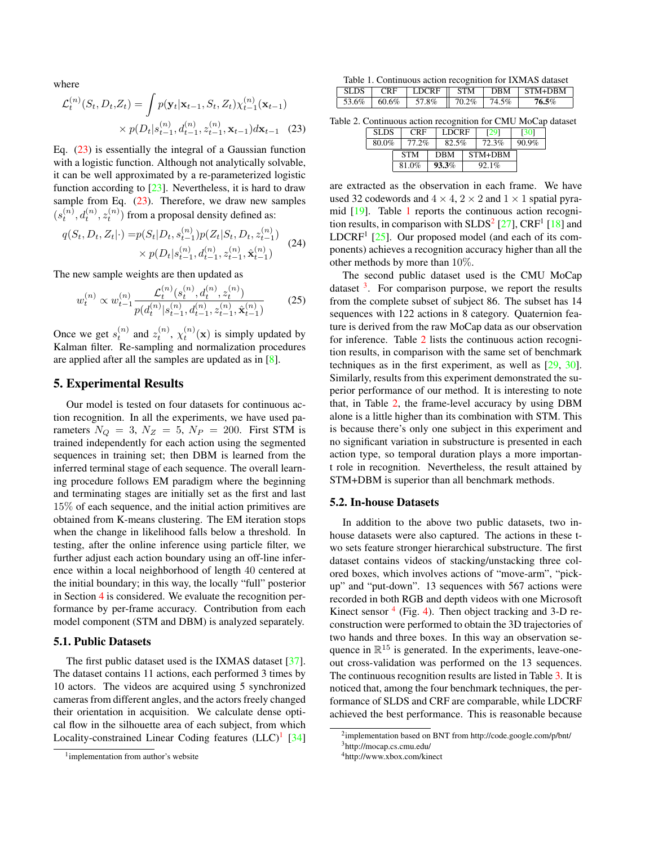where

$$
\mathcal{L}_t^{(n)}(S_t, D_t, Z_t) = \int p(\mathbf{y}_t | \mathbf{x}_{t-1}, S_t, Z_t) \chi_{t-1}^{(n)}(\mathbf{x}_{t-1})
$$

$$
\times p(D_t | s_{t-1}^{(n)}, d_{t-1}^{(n)}, z_{t-1}^{(n)}, \mathbf{x}_{t-1}) d\mathbf{x}_{t-1} \quad (23)
$$

Eq. (23) is essentially the integral of a Gaussian function with a logistic function. Although not analytically solvable, it can be well approximated by a re-parameterized logistic function according to  $[23]$ . Nevertheless, it is hard to draw sample from Eq.  $(23)$ . Therefore, we draw new samples  $(s_t^{(n)}, d_t^{(n)}, z_t^{(n)})$  from a proposal density defined as:

$$
q(S_t, D_t, Z_t | \cdot) = p(S_t | D_t, s_{t-1}^{(n)}) p(Z_t | S_t, D_t, z_{t-1}^{(n)})
$$
  
 
$$
\times p(D_t | s_{t-1}^{(n)}, d_{t-1}^{(n)}, z_{t-1}^{(n)}, \hat{\mathbf{x}}_{t-1}^{(n)})
$$
(24)

The new sample weights are then updated as

$$
w_t^{(n)} \propto w_{t-1}^{(n)} \frac{\mathcal{L}_t^{(n)}(s_t^{(n)}, d_t^{(n)}, z_t^{(n)})}{p(d_t^{(n)} | s_{t-1}^{(n)}, d_{t-1}^{(n)}, z_{t-1}^{(n)}, \hat{\mathbf{x}}_{t-1}^{(n)})}
$$
(25)

Once we get  $s_t^{(n)}$  and  $z_t^{(n)}$ ,  $\chi_t^{(n)}(\mathbf{x})$  is simply updated by<br>Kalman filter. Be-sampling and normalization procedures Kalman filter. Re-sampling and normalization procedures are applied after all the samples are updated as in [8].

## 5. Experimental Results

Our model is tested on four datasets for continuous action recognition. In all the experiments, we have used parameters  $N_Q = 3$ ,  $N_Z = 5$ ,  $N_P = 200$ . First STM is trained independently for each action using the segmented sequences in training set; then DBM is learned from the inferred terminal stage of each sequence. The overall learning procedure follows EM paradigm where the beginning and terminating stages are initially set as the first and last 15% of each sequence, and the initial action primitives are obtained from K-means clustering. The EM iteration stops when the change in likelihood falls below a threshold. In testing, after the online inference using particle filter, we further adjust each action boundary using an off-line inference within a local neighborhood of length 40 centered at the initial boundary; in this way, the locally "full" posterior in Section 4 is considered. We evaluate the recognition performance by per-frame accuracy. Contribution from each model component (STM and DBM) is analyzed separately.

### 5.1. Public Datasets

The first public dataset used is the IXMAS dataset [37]. The dataset contains 11 actions, each performed 3 times by 10 actors. The videos are acquired using 5 synchronized cameras from different angles, and the actors freely changed their orientation in acquisition. We calculate dense optical flow in the silhouette area of each subject, from which Locality-constrained Linear Coding features  $(LLC)^{1}$  [34]

Table 1. Continuous action recognition for IXMAS dataset

| SLDS 1 |                                        |  | $\vert$ CRF $\vert$ LDCRF $\vert$ STM $\vert$ DBM $\vert$ STM+DBM |
|--------|----------------------------------------|--|-------------------------------------------------------------------|
|        | 53.6%   60.6%   57.8%    70.2%   74.5% |  | 76.5%                                                             |
|        |                                        |  |                                                                   |

| Table 2. Continuous action recognition for CMU MoCap dataset |
|--------------------------------------------------------------|
|--------------------------------------------------------------|

|       | <b>SLDS</b><br><b>CRF</b> |                | <b>LDCRF</b> | [29]    | <b>F301</b> |
|-------|---------------------------|----------------|--------------|---------|-------------|
| 80.0% |                           | 77.2%<br>82.5% |              | 72.3%   | 90.9%       |
|       | <b>STM</b>                | DBM            |              | STM+DBM |             |
|       | 81.0%                     |                | 93.3%        | 92.1%   |             |

are extracted as the observation in each frame. We have used 32 codewords and  $4 \times 4$ ,  $2 \times 2$  and  $1 \times 1$  spatial pyramid [19]. Table 1 reports the continuous action recognition results, in comparison with  $SLDS<sup>2</sup>$  [27], CRF<sup>1</sup> [18] and  $LDCRF<sup>1</sup>$  [25]. Our proposed model (and each of its components) achieves a recognition accuracy higher than all the other methods by more than 10%.

The second public dataset used is the CMU MoCap dataset  $3$ . For comparison purpose, we report the results from the complete subset of subject 86. The subset has 14 sequences with 122 actions in 8 category. Quaternion feature is derived from the raw MoCap data as our observation for inference. Table 2 lists the continuous action recognition results, in comparison with the same set of benchmark techniques as in the first experiment, as well as [29, 30]. Similarly, results from this experiment demonstrated the superior performance of our method. It is interesting to note that, in Table 2, the frame-level accuracy by using DBM alone is a little higher than its combination with STM. This is because there's only one subject in this experiment and no significant variation in substructure is presented in each action type, so temporal duration plays a more important role in recognition. Nevertheless, the result attained by STM+DBM is superior than all benchmark methods.

#### 5.2. In-house Datasets

In addition to the above two public datasets, two inhouse datasets were also captured. The actions in these two sets feature stronger hierarchical substructure. The first dataset contains videos of stacking/unstacking three colored boxes, which involves actions of "move-arm", "pickup" and "put-down". 13 sequences with 567 actions were recorded in both RGB and depth videos with one Microsoft Kinect sensor  $4$  (Fig. 4). Then object tracking and 3-D reconstruction were performed to obtain the 3D trajectories of two hands and three boxes. In this way an observation sequence in  $\mathbb{R}^{15}$  is generated. In the experiments, leave-oneout cross-validation was performed on the 13 sequences. The continuous recognition results are listed in Table 3. It is noticed that, among the four benchmark techniques, the performance of SLDS and CRF are comparable, while LDCRF achieved the best performance. This is reasonable because

<sup>&</sup>lt;sup>1</sup>implementation from author's website

<sup>2</sup>implementation based on BNT from http://code.google.com/p/bnt/

<sup>3</sup>http://mocap.cs.cmu.edu/

<sup>4</sup>http://www.xbox.com/kinect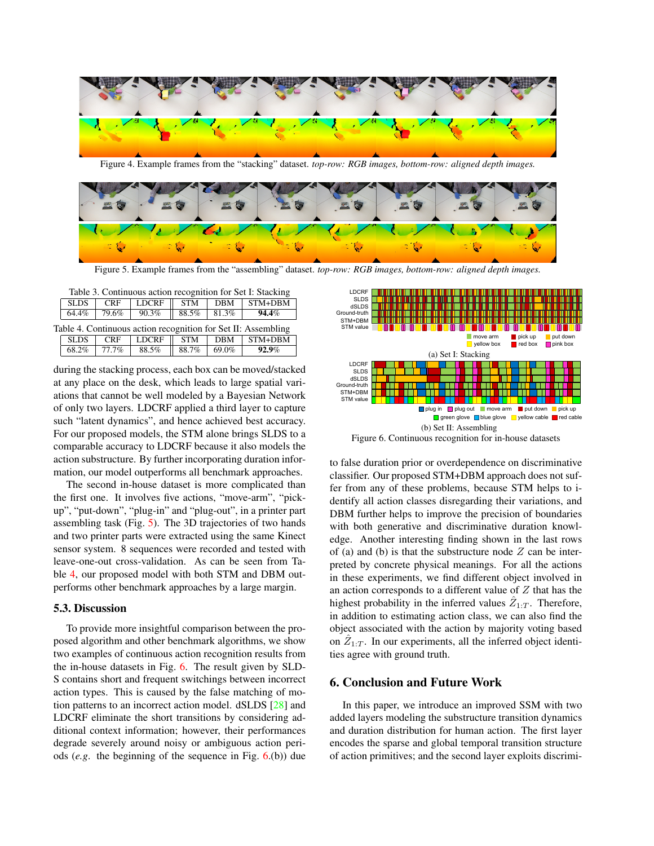

Figure 4. Example frames from the "stacking" dataset. *top-row: RGB images, bottom-row: aligned depth images.*



Figure 5. Example frames from the "assembling" dataset. *top-row: RGB images, bottom-row: aligned depth images.*

|  |  | Table 3. Continuous action recognition for Set I: Stacking |
|--|--|------------------------------------------------------------|
|  |  | SLDS   CRF   LDCRF    STM   DBM   STM+DBM                  |

|                                                               | 64.4%       | $79.6\%$   |             | $90.3\%$   88.5%   81.3% |       | 94.4%       |  |
|---------------------------------------------------------------|-------------|------------|-------------|--------------------------|-------|-------------|--|
| Table 4. Continuous action recognition for Set II: Assembling |             |            |             |                          |       |             |  |
|                                                               | <b>SLDS</b> | <b>CRF</b> | LLDCRF LSTM |                          |       | DBM STM+DBM |  |
|                                                               | 68.2%       | 77.7%      | 88.5%       | 88.7%                    | 69.0% | 92.9%       |  |

during the stacking process, each box can be moved/stacked at any place on the desk, which leads to large spatial variations that cannot be well modeled by a Bayesian Network of only two layers. LDCRF applied a third layer to capture such "latent dynamics", and hence achieved best accuracy. For our proposed models, the STM alone brings SLDS to a comparable accuracy to LDCRF because it also models the action substructure. By further incorporating duration information, our model outperforms all benchmark approaches.

The second in-house dataset is more complicated than the first one. It involves five actions, "move-arm", "pickup", "put-down", "plug-in" and "plug-out", in a printer part assembling task (Fig. 5). The 3D trajectories of two hands and two printer parts were extracted using the same Kinect sensor system. 8 sequences were recorded and tested with leave-one-out cross-validation. As can be seen from Table 4, our proposed model with both STM and DBM outperforms other benchmark approaches by a large margin.

### 5.3. Discussion

To provide more insightful comparison between the proposed algorithm and other benchmark algorithms, we show two examples of continuous action recognition results from the in-house datasets in Fig. 6. The result given by SLD-S contains short and frequent switchings between incorrect action types. This is caused by the false matching of motion patterns to an incorrect action model. dSLDS [28] and LDCRF eliminate the short transitions by considering additional context information; however, their performances degrade severely around noisy or ambiguous action periods (*e.g*. the beginning of the sequence in Fig. 6.(b)) due



Figure 6. Continuous recognition for in-house datasets

to false duration prior or overdependence on discriminative classifier. Our proposed STM+DBM approach does not suffer from any of these problems, because STM helps to identify all action classes disregarding their variations, and DBM further helps to improve the precision of boundaries with both generative and discriminative duration knowledge. Another interesting finding shown in the last rows of (a) and (b) is that the substructure node  $Z$  can be interpreted by concrete physical meanings. For all the actions in these experiments, we find different object involved in an action corresponds to a different value of  $Z$  that has the highest probability in the inferred values  $Z_{1:T}$ . Therefore, in addition to estimating action class, we can also find the object associated with the action by majority voting based on  $\hat{Z}_{1:T}$ . In our experiments, all the inferred object identities agree with ground truth.

## 6. Conclusion and Future Work

In this paper, we introduce an improved SSM with two added layers modeling the substructure transition dynamics and duration distribution for human action. The first layer encodes the sparse and global temporal transition structure of action primitives; and the second layer exploits discrimi-